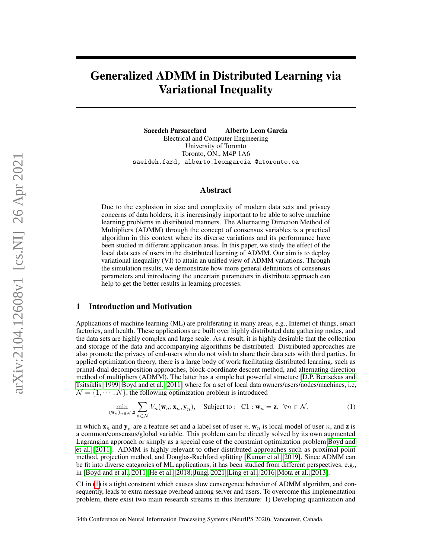# Generalized ADMM in Distributed Learning via Variational Inequality

Saeedeh Parsaeefard Alberto Leon Garcia Electrical and Computer Engineering University of Toronto Toronto, ON., M4P 1A6 saeideh.fard, alberto.leongarcia @utoronto.ca

# Abstract

Due to the explosion in size and complexity of modern data sets and privacy concerns of data holders, it is increasingly important to be able to solve machine learning problems in distributed manners. The Alternating Direction Method of Multipliers (ADMM) through the concept of consensus variables is a practical algorithm in this context where its diverse variations and its performance have been studied in different application areas. In this paper, we study the effect of the local data sets of users in the distributed learning of ADMM. Our aim is to deploy variational inequality (VI) to attain an unified view of ADMM variations. Through the simulation results, we demonstrate how more general definitions of consensus parameters and introducing the uncertain parameters in distribute approach can help to get the better results in learning processes.

# 1 Introduction and Motivation

Applications of machine learning (ML) are proliferating in many areas, e.g., Internet of things, smart factories, and health. These applications are built over highly distributed data gathering nodes, and the data sets are highly complex and large scale. As a result, it is highly desirable that the collection and storage of the data and accompanying algorithms be distributed. Distributed approaches are also promote the privacy of end-users who do not wish to share their data sets with third parties. In applied optimization theory, there is a large body of work facilitating distributed learning, such as primal-dual decomposition approaches, block-coordinate descent method, and alternating direction method of multipliers (ADMM). The latter has a simple but powerful structure [\[D.P. Bertsekas and](#page-10-0) [Tsitsiklis, 1999,](#page-10-0) [Boyd and et al., 2011\]](#page-10-1) where for a set of local data owners/users/nodes/machines, i.e,  $\mathcal{N} = \{1, \dots, N\}$ , the following optimization problem is introduced

<span id="page-0-0"></span>
$$
\min_{(\mathbf{w}_n)_{n\in\mathcal{N}},\mathbf{z}} \sum_{n\in\mathcal{N}} V_n(\mathbf{w}_n,\mathbf{x}_n,\mathbf{y}_n), \quad \text{Subject to:} \quad \text{C1}: \mathbf{w}_n = \mathbf{z}, \ \ \forall n \in\mathcal{N}, \tag{1}
$$

in which  $\mathbf{x}_n$  and  $\mathbf{y}_n$  are a feature set and a label set of user n,  $\mathbf{w}_n$  is local model of user n, and z is a common/consensus/global variable. This problem can be directly solved by its own augmented Lagrangian approach or simply as a special case of the constraint optimization problem [Boyd and](#page-10-1) [et al.](#page-10-1) [\[2011\]](#page-10-1). ADMM is highly relevant to other distributed approaches such as proximal point method, projection method, and Douglas-Rachford splitting [\[Kumar et al., 2019\]](#page-10-2). Since ADMM can be fit into diverse categories of ML applications, it has been studied from different perspectives, e.g., in [\[Boyd and et al., 2011,](#page-10-1) [He et al., 2018,](#page-10-3) [Jung, 2021,](#page-10-4) [Ling et al., 2016,](#page-10-5) [Mota et al., 2013\]](#page-10-6).

C1 in [\(1\)](#page-0-0) is a tight constraint which causes slow convergence behavior of ADMM algorithm, and consequently, leads to extra message overhead among server and users. To overcome this implementation problem, there exist two main research streams in this literature: 1) Developing quantization and

34th Conference on Neural Information Processing Systems (NeurIPS 2020), Vancouver, Canada.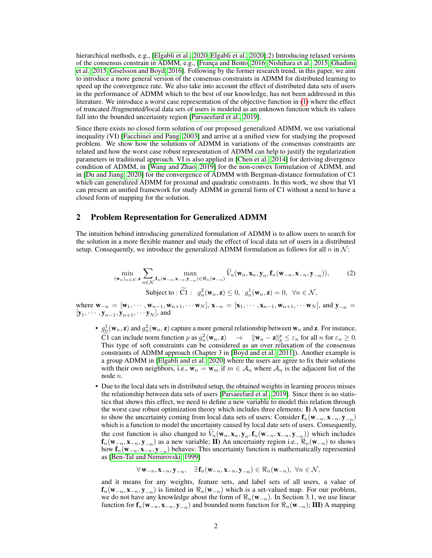hierarchical methods, e.g., [\[Elgabli et al., 2020,](#page-10-7) [Elgabli et al., 2020\]](#page-11-0);2) Introducing relaxed versions of the consensus constrain in ADMM, e.g., [\[França and Bento, 2016,](#page-11-1) [Nishihara et al., 2015,](#page-11-2) [Ghadimi](#page-11-3) [et al., 2015,](#page-11-3) [Giselsson and Boyd, 2016\]](#page-11-4). Following by the former research trend, in this paper, we aim to introduce a more general version of the consensus constraints in ADMM for distributed learning to speed up the convergence rate. We also take into account the effect of distributed data sets of users in the performance of ADMM which to the best of our knowledge, has not been addressed in this literature. We introduce a worst case representation of the objective function in [\(1\)](#page-0-0) where the effect of truncated /fragmented/local data sets of users is modeled as an unknown function which its values fall into the bounded uncertainty region [\[Parsaeefard et al., 2019\]](#page-11-5).

Since there exists no closed form solution of our proposed generalized ADMM, we use variational inequality (VI) [\[Facchinei and Pang, 2003\]](#page-11-6) and arrive at a unified view for studying the proposed problem. We show how the solutions of ADMM in variations of the consensus constraints are related and how the worst case robust representation of ADMM can help to justify the regularization parameters in traditional approach. VI is also applied in [\[Chen et al., 2014\]](#page-11-7) for deriving divergence condition of ADMM, in [\[Wang and Zhao, 2019\]](#page-11-8) for the non-convex formulation of ADMM, and in [\[Du and Jiang, 2020\]](#page-11-9) for the convergence of ADMM with Bergman-distance formulation of C1 which can generalized ADMM for proximal and quadratic constraints. In this work, we show that VI can present an unified framework for study ADMM in general form of C1 without a need to have a closed form of mapping for the solution.

# 2 Problem Representation for Generalized ADMM

The intuition behind introducing generalized formulation of ADMM is to allow users to search for the solution in a more flexible manner and study the effect of local data set of users in a distributed setup. Consequently, we introduce the generalized ADMM formulation as follows for all  $n$  in  $\mathcal{N}$ :

<span id="page-1-0"></span>
$$
\min_{(\mathbf{w}_n)_{n \in \mathcal{N}}, \mathbf{z}} \sum_{n \in \mathcal{N}} \max_{\mathbf{f}_n(\mathbf{w}_{-n}, \mathbf{x}_{-n}, \mathbf{y}_{-n}) \in \mathfrak{R}_n(\mathbf{w}_{-n})} \widetilde{V}_n(\mathbf{w}_n, \mathbf{x}_n, \mathbf{y}_n, \mathbf{f}_n(\mathbf{w}_{-n}, \mathbf{x}_{-n}, \mathbf{y}_{-n})),
$$
\n(2)\nSubject to:  $\widetilde{CI}: g_n^2(\mathbf{w}_n, \mathbf{z}) \leq 0, g_n^1(\mathbf{w}_n, \mathbf{z}) = 0, \forall n \in \mathcal{N},$ 

where  $w_{-n} = [w_1, \dots, w_{n-1}, w_{n+1}, \dots, w_N], x_{-n} = [x_1, \dots, x_{n-1}, w_{n+1}, \dots, w_N],$  and  $y_{-n} =$  $[\mathbf{y}_1, \cdots, \mathbf{y}_{n-1}, \mathbf{y}_{n+1}, \cdots, \mathbf{y}_N]$ , and

- $g_n^1(\mathbf{w}_n, \mathbf{z})$  and  $g_n^2(\mathbf{w}_n, \mathbf{z})$  capture a more general relationship between  $\mathbf{w}_n$  and  $\mathbf{z}$ . For instance, C1 can include norm function p as  $g_n^2(\mathbf{w}_n, \mathbf{z}) \rightarrow ||\mathbf{w}_n - \mathbf{z}||_p^p \le \varepsilon_n$  for all n for  $\varepsilon_n \ge 0$ .<br>This turn of soft constraints are not considered as an approximation of the conservers This type of soft constraints can be considered as an over relaxation of the consensus constraints of ADMM approach (Chapter 3 in [\[Boyd and et al., 2011\]](#page-10-1)). Another example is a group ADMM in [\[Elgabli and et al., 2020\]](#page-11-10) where the users are agree to fix their solutions with their own neighbors, i.e.,  $\mathbf{w}_n = \mathbf{w}_m$  if  $m \in A_n$  where  $A_n$  is the adjacent list of the node n.
- Due to the local data sets in distributed setup, the obtained weights in learning process misses the relationship between data sets of users [\[Parsaeefard et al., 2019\]](#page-11-5). Since there is no statistics that shows this effect, we need to define a new variable to model this relation through the worst case robust optimization theory which includes three elements: I) A new function to show the uncertainty coming from local data sets of users: Consider  $f_n(w_{-n}, x_{-n}, y_{-n})$ which is a function to model the uncertainty caused by local date sets of users. Consequently, the cost function is also changed to  $V_n(\mathbf{w}_n, \mathbf{x}_n, \mathbf{y}_n, \mathbf{f}_n(\mathbf{w}_{-n}, \mathbf{x}_{-n}, \mathbf{y}_{-n}))$  which includes  $f_n(w_{-n}, x_{-n}, y_{-n})$  as a new variable; II) An uncertainty region i.e.,  $\Re_n(w_{-n})$  to shows how  $f_n(w_{-n}, x_{-n}, y_{-n})$  behaves: This uncertainty function is mathematically represented as [\[Ben-Tal and Nemirovski, 1999\]](#page-11-11)

$$
\forall \mathbf{w}_{-n}, \mathbf{x}_{-n}, \mathbf{y}_{-n}, \quad \exists \mathbf{f}_n(\mathbf{w}_{-n}, \mathbf{x}_{-n}, \mathbf{y}_{-n}) \in \Re_n(\mathbf{w}_{-n}), \ \forall n \in \mathcal{N},
$$

and it means for any weights, feature sets, and label sets of all users, a value of  $f_n(w_{-n}, x_{-n}, y_{-n})$  is limited in  $\Re_n(w_{-n})$  which is a set-valued map. For our problem, we do not have any knowledge about the form of  $\Re_n(\mathbf{w}_{-n})$ . In Section 3.1, we use linear function for  $f_n(w_{-n}, x_{-n}, y_{-n})$  and bounded norm function for  $\Re_n(w_{-n});$  III) A mapping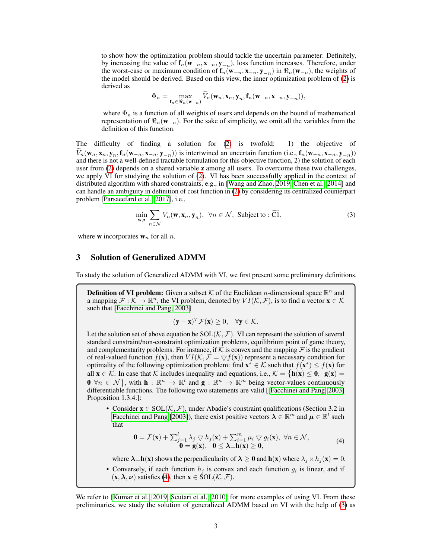to show how the optimization problem should tackle the uncertain parameter: Definitely, by increasing the value of  $f_n(w_{-n}, x_{-n}, y_{-n})$ , loss function increases. Therefore, under the worst-case or maximum condition of  $f_n(w_{-n}, x_{-n}, y_{-n})$  in  $\Re_n(w_{-n})$ , the weights of the model should be derived. Based on this view, the inner optimization problem of [\(2\)](#page-1-0) is derived as

$$
\Phi_n = \max_{\mathbf{f}_n \in \mathbb{R}_n(\mathbf{w}_{-n})} \widetilde{V}_n(\mathbf{w}_n, \mathbf{x}_n, \mathbf{y}_n, \mathbf{f}_n(\mathbf{w}_{-n}, \mathbf{x}_{-n}, \mathbf{y}_{-n})),
$$

where  $\Phi_n$  is a function of all weights of users and depends on the bound of mathematical representation of  $\Re_n(\mathbf{w}_{-n})$ . For the sake of simplicity, we omit all the variables from the definition of this function.

The difficulty of finding a solution for [\(2\)](#page-1-0) is twofold: 1) the objective of  $V_n(\mathbf{w}_n, \mathbf{x}_n, \mathbf{y}_n, \mathbf{f}_n(\mathbf{w}_{-n}, \mathbf{x}_{-n}, \mathbf{y}_{-n}))$  is intertwined an uncertain function (i.e.,  $\mathbf{f}_n(\mathbf{w}_{-n}, \mathbf{x}_{-n}, \mathbf{y}_{-n})$ ) and there is not a well-defined tractable formulation for this objective function, 2) the solution of each user from [\(2\)](#page-1-0) depends on a shared variable z among all users. To overcome these two challenges, we apply VI for studying the solution of [\(2\)](#page-1-0). VI has been successfully applied in the context of distributed algorithm with shared constraints, e.g., in [\[Wang and Zhao, 2019,](#page-11-8) [Chen et al., 2014\]](#page-11-7) and can handle an ambiguity in definition of cost function in [\(2\)](#page-1-0) by considering its centralized counterpart problem [\[Parsaeefard et al., 2017\]](#page-11-12), i.e.,

<span id="page-2-1"></span>
$$
\min_{\mathbf{w},\mathbf{z}} \sum_{n \in \mathcal{N}} V_n(\mathbf{w}, \mathbf{x}_n, \mathbf{y}_n), \ \forall n \in \mathcal{N}, \ \text{Subject to : } \widetilde{\mathbf{C1}},
$$
 (3)

where **w** incorporates  $w_n$  for all *n*.

# 3 Solution of Generalized ADMM

To study the solution of Generalized ADMM with VI, we first present some preliminary definitions.

**Definition of VI problem:** Given a subset K of the Euclidean *n*-dimensional space  $\mathbb{R}^n$  and a mapping  $\mathcal{F}: \mathcal{K} \to \mathbb{R}^n$ , the VI problem, denoted by  $VI(\mathcal{K}, \mathcal{F})$ , is to find a vector  $\mathbf{x} \in \mathcal{K}$ such that [\[Facchinei and Pang, 2003\]](#page-11-6)

$$
(\mathbf{y} - \mathbf{x})^T \mathcal{F}(\mathbf{x}) \ge 0, \quad \forall \mathbf{y} \in \mathcal{K}.
$$

Let the solution set of above equation be  $SOL(\mathcal{K}, \mathcal{F})$ . VI can represent the solution of several standard constraint/non-constraint optimization problems, equilibrium point of game theory, and complementarity problems. For instance, if K is convex and the mapping  $\mathcal F$  is the gradient of real-valued function  $f(\mathbf{x})$ , then  $VI(\mathcal{K}, \mathcal{F} = \nabla f(\mathbf{x}))$  represent a necessary condition for optimality of the following optimization problem: find  $\mathbf{x}^* \in \mathcal{K}$  such that  $f(\mathbf{x}^*) \leq f(\mathbf{x})$  for all  $x \in \mathcal{K}$ . In case that  $\mathcal{K}$  includes inequality and equations, i.e.,  $\mathcal{K} = \{h(x) \le 0, g(x) =$  $\mathbf{0} \ \forall n \in \mathcal{N} \big\}$ , with  $\mathbf{h} : \mathbb{R}^n \to \mathbb{R}^l$  and  $\mathbf{g} : \mathbb{R}^n \to \mathbb{R}^m$  being vector-values continuously differentiable functions. The following two statements are valid [[\[Facchinei and Pang, 2003\]](#page-11-6) Proposition 1.3.4.]:

• Consider  $x \in SOL(\mathcal{K}, \mathcal{F})$ , under Abadie's constraint qualifications (Section 3.2 in [Facchinei and Pang](#page-11-6) [\[2003\]](#page-11-6)), there exist positive vectors  $\lambda \in \mathbb{R}^m$  and  $\mu \in \mathbb{R}^l$  such that

<span id="page-2-0"></span>
$$
\mathbf{0} = \mathcal{F}(\mathbf{x}) + \sum_{j=1}^{l} \lambda_j \nabla h_j(\mathbf{x}) + \sum_{i=1}^{m} \mu_i \nabla g_i(\mathbf{x}), \ \forall n \in \mathcal{N},
$$
  
\n
$$
\mathbf{0} = \mathbf{g}(\mathbf{x}), \ \mathbf{0} \le \lambda \perp \mathbf{h}(\mathbf{x}) \ge \mathbf{0},
$$
\n(4)

where  $\lambda \perp h(x)$  shows the perpendicularity of  $\lambda \ge 0$  and  $h(x)$  where  $\lambda_j \times h_j(x) = 0$ .

• Conversely, if each function  $h_j$  is convex and each function  $g_i$  is linear, and if  $(\mathbf{x}, \lambda, \nu)$  satisfies [\(4\)](#page-2-0), then  $\mathbf{x} \in \text{SOL}(\mathcal{K}, \mathcal{F})$ .

We refer to [\[Kumar et al., 2019,](#page-10-2) [Scutari et al., 2010\]](#page-11-13) for more examples of using VI. From these preliminaries, we study the solution of generalized ADMM based on VI with the help of [\(3\)](#page-2-1) as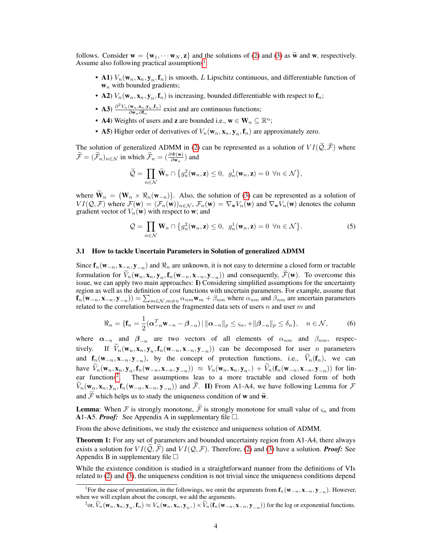follows. Consider  $\mathbf{w} = {\mathbf{w}_1, \dots, \mathbf{w}_N, \mathbf{z}}$  and the solutions of [\(2\)](#page-1-0) and [\(3\)](#page-2-1) as  $\tilde{\mathbf{w}}$  and  $\mathbf{w}$ , respectively. Assume also following practical assumptions<sup>[1](#page-3-0)</sup>:

- A1)  $V_n(\mathbf{w}_n, \mathbf{x}_n, \mathbf{y}_n, \mathbf{f}_n)$  is smooth, L Lipschitz continuous, and differentiable function of  $w_n$  with bounded gradients;
- A2)  $V_n(\mathbf{w}_n, \mathbf{x}_n, \mathbf{y}_n, \mathbf{f}_n)$  is increasing, bounded differentiable with respect to  $\mathbf{f}_n$ ;
- **A3**)  $\frac{\partial^2 V_n(\mathbf{w}_n, \mathbf{x}_n, \mathbf{y}_n, \mathbf{f}_n)}{\partial \mathbf{w}_n \partial \mathbf{f}_n}$  exist and are continuous functions;
- A4) Weights of users and **z** are bounded i.e.,  $\mathbf{w} \in \mathbf{W}_n \subseteq \mathbb{R}^n$ ;
- A5) Higher order of derivatives of  $V_n(\mathbf{w}_n, \mathbf{x}_n, \mathbf{y}_n, \mathbf{f}_n)$  are approximately zero.

The solution of generalized ADMM in [\(2\)](#page-1-0) can be represented as a solution of  $VI(\tilde{Q}, \tilde{\mathcal{F}})$  where  $\widetilde{\mathcal{F}} = (\widetilde{\mathcal{F}}_n)_{n \in \mathcal{N}}$  in which  $\widetilde{\mathcal{F}}_n = (\frac{\partial \Phi(\mathbf{w})}{\partial \mathbf{w}_n})$  and

$$
\widetilde{Q} = \prod_{n \in \mathcal{N}} \widetilde{\mathbf{W}}_n \cap \left\{ g_n^2(\mathbf{w}_n, \mathbf{z}) \le 0, \ g_n^1(\mathbf{w}_n, \mathbf{z}) = 0 \ \forall n \in \mathcal{N} \right\},\
$$

where  $\mathbf{W}_n = (\mathbf{W}_n \times \mathbb{R}_n(\mathbf{w}_{-n}))$ . Also, the solution of [\(3\)](#page-2-1) can be represented as a solution of  $VI(Q, \mathcal{F})$  where  $\mathcal{F}(\mathbf{w}) = (\mathcal{F}_n(\mathbf{w}))_{n \in \mathcal{N}}$ ,  $\mathcal{F}_n(\mathbf{w}) = \nabla_{\mathbf{w}} V_n(\mathbf{w})$  and  $\nabla_{\mathbf{w}} V_n(\mathbf{w})$  denotes the column gradient vector of  $V_n(\mathbf{w})$  with respect to **w**; and

<span id="page-3-2"></span>
$$
\mathcal{Q} = \prod_{n \in \mathcal{N}} \mathbf{W}_n \cap \{ g_n^2(\mathbf{w}_n, \mathbf{z}) \le 0, \ g_n^1(\mathbf{w}_n, \mathbf{z}) = 0 \ \forall n \in \mathcal{N} \}.
$$
 (5)

#### 3.1 How to tackle Uncertain Parameters in Solution of generalized ADMM

Since  $f_n(w_{-n}, x_{-n}, y_{-n})$  and  $\Re_n$  are unknown, it is not easy to determine a closed form or tractable formulation for  $V_n(\mathbf{w}_n, \mathbf{x}_n, \mathbf{y}_n, \mathbf{f}_n(\mathbf{w}_{-n}, \mathbf{x}_{-n}, \mathbf{y}_{-n})$  and consequently,  $\mathcal{F}(\mathbf{w})$ . To overcome this issue, we can apply two main approaches: I) Considering simplified assumptions for the uncertainty region as well as the definition of cost functions with uncertain parameters. For example, assume that  $f_n(w_{-n}, x_{-n}, y_{-n}) = \sum_{m \in \mathcal{N}, m \neq n} \alpha_{nm} w_m + \beta_{nm}$  where  $\alpha_{nm}$  and  $\beta_{nm}$  are uncertain parameters related to the correlation between the fragmented data sets of users  $n$  and user  $m$  and

$$
\Re_n = \{\mathbf{f}_n = \frac{1}{2}(\boldsymbol{\alpha}_{-n}^T \mathbf{w}_{-n} - \boldsymbol{\beta}_{-n}) \,|\, \|\boldsymbol{\alpha}_{-n}\|_p \leq \varsigma_n, + \|\boldsymbol{\beta}_{-n}\|_p \leq \delta_n\}, \quad n \in \mathcal{N},
$$

where  $\alpha_{-n}$  and  $\beta_{-n}$  are two vectors of all elements of  $\alpha_{nm}$  and  $\beta_{nm}$ , respectively. If  $V_n(\mathbf{w}_n, \mathbf{x}_n, \mathbf{y}_n, \mathbf{f}_n(\mathbf{w}_{-n}, \mathbf{x}_{-n}, \mathbf{y}_{-n}))$  can be decomposed for user *n* parameters and  $f_n(w_{-n}, x_{-n}, y_{-n})$ , by the concept of protection functions, i.e.,  $V_n(f_n)$ , we can have  $V_n(\mathbf{w}_n, \mathbf{x}_n, \mathbf{y}_n, \mathbf{f}_n(\mathbf{w}_{-n}, \mathbf{x}_{-n}, \mathbf{y}_{-n})) \approx V_n(\mathbf{w}_n, \mathbf{x}_n, \mathbf{y}_n) + V_n(\mathbf{f}_n(\mathbf{w}_{-n}, \mathbf{x}_{-n}, \mathbf{y}_{-n}))$  for lin-ear functions<sup>[2](#page-3-1)</sup>. These assumptions leas to a more tractable and closed form of both  $V_n(\mathbf{w}_n, \mathbf{x}_n, \mathbf{y}_n, \mathbf{f}_n(\mathbf{w}_{-n}, \mathbf{x}_{-n}, \mathbf{y}_{-n}))$  and  $\mathcal{F}$ . II) From A1-A4, we have following Lemma for  $\mathcal{F}$ and  $\widetilde{\mathcal{F}}$  which helps us to study the uniqueness condition of **w** and  $\widetilde{\mathbf{w}}$ .

**Lemma**: When F is strongly monotone,  $\widetilde{\mathcal{F}}$  is strongly monotone for small value of  $\varsigma_n$  and from A1-A5. *Proof:* See Appendix A in supplementary file  $\Box$ .

From the above definitions, we study the existence and uniqueness solution of ADMM.

Theorem 1: For any set of parameters and bounded uncertainty region from A1-A4, there always exists a solution for  $VI(\tilde{Q}, \tilde{\mathcal{F}})$  and  $VI(Q, \mathcal{F})$ . Therefore, [\(2\)](#page-1-0) and [\(3\)](#page-2-1) have a solution. *Proof:* See Appendix B in supplementary file  $\square$ 

While the existence condition is studied in a straightforward manner from the definitions of VIs related to [\(2\)](#page-1-0) and [\(3\)](#page-2-1), the uniqueness condition is not trivial since the uniqueness conditions depend

<span id="page-3-0"></span><sup>&</sup>lt;sup>1</sup>For the ease of presentation, in the followings, we omit the arguments from  $f_n(w_{-n}, x_{-n}, y_{-n})$ . However, when we will explain about the concept, we add the arguments.

<span id="page-3-1"></span> $\hat{V}_n(\mathbf{w}_n, \mathbf{x}_n, \mathbf{y}_n, \mathbf{f}_n) \approx V_n(\mathbf{w}_n, \mathbf{x}_n, \mathbf{y}_n, \mathbf{y}_n) \times \hat{V}_n(\mathbf{f}_n(\mathbf{w}_{-n}, \mathbf{x}_{-n}, \mathbf{y}_{-n}))$  for the log or exponential functions.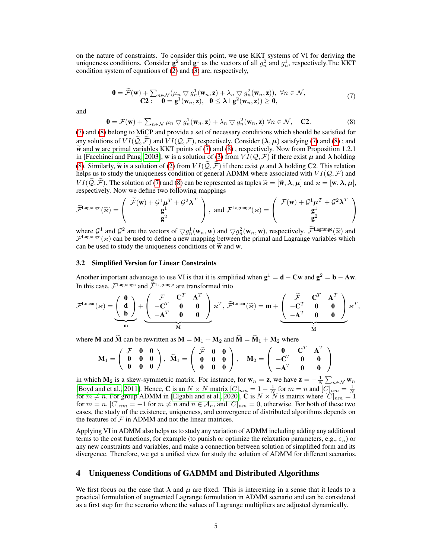on the nature of constraints. To consider this point, we use KKT systems of VI for deriving the uniqueness conditions. Consider  $\mathbf{g}^2$  and  $\mathbf{g}^1$  as the vectors of all  $g_n^2$  and  $g_n^1$ , respectively. The KKT condition system of equations of  $(2)$  and  $(3)$  are, respectively,

<span id="page-4-0"></span>
$$
\mathbf{0} = \widetilde{\mathcal{F}}(\mathbf{w}) + \sum_{n \in \mathcal{N}} (\mu_n \nabla g_n^1(\mathbf{w}_n, \mathbf{z}) + \lambda_n \nabla g_n^2(\mathbf{w}_n, \mathbf{z})), \ \forall n \in \mathcal{N},
$$
  
\n
$$
\mathbf{C2} : \quad \mathbf{0} = \mathbf{g}^1(\mathbf{w}_n, \mathbf{z}), \ \ \mathbf{0} \le \lambda \perp \mathbf{g}^2(\mathbf{w}_n, \mathbf{z})) \ge \mathbf{0},
$$
\n(7)

and

<span id="page-4-1"></span>
$$
\mathbf{0} = \mathcal{F}(\mathbf{w}) + \sum_{n \in \mathcal{N}} \mu_n \nabla g_n^1(\mathbf{w}_n, \mathbf{z}) + \lambda_n \nabla g_n^2(\mathbf{w}_n, \mathbf{z}) \,\forall n \in \mathcal{N}, \quad \mathbf{C2}.
$$
 (8)

[\(7\)](#page-4-0) and [\(8\)](#page-4-1) belong to MiCP and provide a set of necessary conditions which should be satisfied for any solutions of  $VI(\tilde{Q}, \tilde{\mathcal{F}})$  and  $VI(\tilde{Q}, \mathcal{F})$ , respectively. Consider  $(\lambda, \mu)$  satisfying [\(7\)](#page-4-0) and [\(8\)](#page-4-1); and  $\tilde{\mathbf{w}}$  and w are primal variables KKT points of [\(7\)](#page-4-0) and [\(8\)](#page-4-1), respectively. Now from Proposition 1.2.1 in [\[Facchinei and Pang, 2003\]](#page-11-6), w is a solution of [\(3\)](#page-2-1) from  $VI(Q, \mathcal{F})$  if there exist  $\mu$  and  $\lambda$  holding [\(8\)](#page-4-1). Similarly,  $\tilde{\mathbf{w}}$  is a solution of [\(2\)](#page-1-0) from  $VI(\mathcal{Q}, \mathcal{F})$  if there exist  $\mu$  and  $\lambda$  holding C2. This relation helps us to study the uniqueness condition of general ADMM where associated with  $VI(Q, \mathcal{F})$  and  $VI(\tilde{\mathcal{Q}}, \tilde{\mathcal{F}})$ . The solution of [\(7\)](#page-4-0) and [\(8\)](#page-4-1) can be represented as tuples  $\tilde{\varkappa} = [\tilde{\mathbf{w}}, \lambda, \mu]$  and  $\varkappa = [\mathbf{w}, \lambda, \mu]$ , respectively. Now we define two following mappings

$$
\widetilde{\mathcal{F}}^{\text{Lagrange}}(\widetilde{\varkappa}) = \left( \begin{array}{c} \widetilde{\mathcal{F}}(\mathbf{w}) + \mathcal{G}^1 \mu^T + \mathcal{G}^2 \boldsymbol{\lambda}^T \\ \mathbf{g}^1 \\ \mathbf{g}^2 \end{array} \right), \text{ and } \mathcal{F}^{\text{Lagrange}}(\varkappa) = \left( \begin{array}{c} \mathcal{F}(\mathbf{w}) + \mathcal{G}^1 \mu^T + \mathcal{G}^2 \boldsymbol{\lambda}^T \\ \mathbf{g}^1 \\ \mathbf{g}^2 \end{array} \right)
$$

where  $\mathcal{G}^1$  and  $\mathcal{G}^2$  are the vectors of  $\nabla g_n^1(\mathbf{w}_n, \mathbf{w})$  and  $\nabla g_n^2(\mathbf{w}_n, \mathbf{w})$ , respectively.  $\widetilde{\mathcal{F}}^{\text{Lagrange}}(\widetilde{\kappa})$  and  $\mathcal{F}^{\text{Lagrange}}(\widetilde{\kappa})$  and  $\mathcal{F}^{\text{Lagrange}}(\widetilde{\kappa})$  can be used to d  $\mathcal{F}^{\text{Lagrange}}(\varkappa)$  can be used to define a new mapping between the primal and Lagrange variables which can be used to study the uniqueness conditions of  $\tilde{\mathbf{w}}$  and  $\mathbf{w}$ .

#### 3.2 Simplified Version for Linear Constraints

Another important advantage to use VI is that it is simplified when  $g^1 = d - Cw$  and  $g^2 = b - Aw$ . In this case,  $\mathcal{F}^{\text{Lagrange}}$  and  $\widetilde{\mathcal{F}}^{\text{Lagrange}}$  are transformed into

$$
\mathcal{F}^{\text{Linear}}(\varkappa)=\underbrace{\left(\begin{array}{c}\mathbf{0}\\\mathbf{d}\\\mathbf{b}\end{array}\right)}_{\text{m}}+\underbrace{\left(\begin{array}{ccc} \mathcal{F}&\mathbf{C}^T&\mathbf{A}^T\\ -\mathbf{C}^T&\mathbf{0}&\mathbf{0}\\\ -\mathbf{A}^T&\mathbf{0}&\mathbf{0}\end{array}\right)}_{\text{M}}\varkappa^T,\ \widetilde{\mathcal{F}}^{\text{Linear}}(\widetilde{\varkappa})=\textbf{m}+\underbrace{\left(\begin{array}{cc} \widetilde{\mathcal{F}}&\mathbf{C}^T&\mathbf{A}^T\\ -\mathbf{C}^T&\mathbf{0}&\mathbf{0}\\\ -\mathbf{A}^T&\mathbf{0}&\mathbf{0}\end{array}\right)}_{\widetilde{\text{M}}}\varkappa^T,
$$

where **M** and  $\widetilde{M}$  can be rewritten as  $M = M_1 + M_2$  and  $\widetilde{M} = \widetilde{M}_1 + M_2$  where

$$
\mathbf{M}_1 = \left( \begin{array}{ccc} \mathcal{F} & \mathbf{0} & \mathbf{0} \\ \mathbf{0} & \mathbf{0} & \mathbf{0} \\ \mathbf{0} & \mathbf{0} & \mathbf{0} \end{array} \right), \ \ \widetilde{\mathbf{M}}_1 = \left( \begin{array}{ccc} \widetilde{\mathcal{F}} & \mathbf{0} & \mathbf{0} \\ \mathbf{0} & \mathbf{0} & \mathbf{0} \\ \mathbf{0} & \mathbf{0} & \mathbf{0} \end{array} \right), \quad \mathbf{M}_2 = \left( \begin{array}{ccc} \mathbf{0} & \mathbf{C}^T & \mathbf{A}^T \\ -\mathbf{C}^T & \mathbf{0} & \mathbf{0} \\ -\mathbf{A}^T & \mathbf{0} & \mathbf{0} \end{array} \right).
$$

in which  $M_2$  is a skew-symmetric matrix. For instance, for  $w_n = z$ , we have  $z = -\frac{1}{N} \sum_{n \in \mathcal{N}} w_n$ [\[Boyd and et al., 2011\]](#page-10-1). Hence, **C** is an  $N \times N$  matrix  $[C]_{nm} = 1 - \frac{1}{N}$  for  $m = n$  and  $[C]_{nm} = \frac{1}{N}$  for  $m \neq n$ . For group ADMM in [\[Elgabli and et al., 2020\]](#page-11-10), **C** is  $N \times N$  is matrix where  $[C]_{nm} = 1$ for  $m = n$ ,  $[C]_{nm} = -1$  for  $m \neq n$  and  $n \in A_n$ , and  $[C]_{nm} = 0$ , otherwise. For both of these two cases, the study of the existence, uniqueness, and convergence of distributed algorithms depends on the features of  $\mathcal F$  in ADMM and not the linear matrices.

Applying VI in ADMM also helps us to study any variation of ADMM including adding any additional terms to the cost functions, for example (to punish or optimize the relaxation parameters, e.g.,  $\varepsilon_n$ ) or any new constraints and variables, and make a connection between solution of simplified form and its divergence. Therefore, we get a unified view for study the solution of ADMM for different scenarios.

# 4 Uniqueness Conditions of GADMM and Distributed Algorithms

We first focus on the case that  $\lambda$  and  $\mu$  are fixed. This is interesting in a sense that it leads to a practical formulation of augmented Lagrange formulation in ADMM scenario and can be considered as a first step for the scenario where the values of Lagrange multipliers are adjusted dynamically.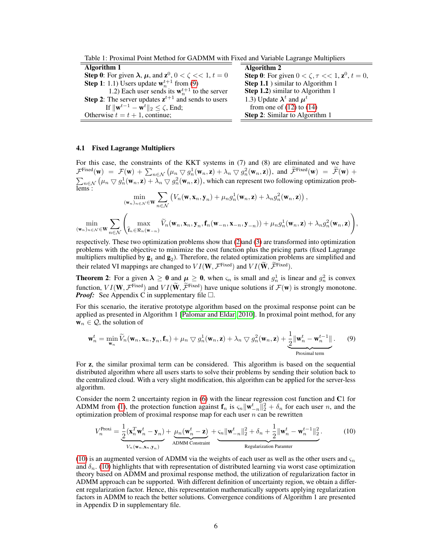Table 1: Proximal Point Method for GADMM with Fixed and Variable Lagrange Multipliers

| Algorithm 1                                                                        | Algorithm 2                                                        |
|------------------------------------------------------------------------------------|--------------------------------------------------------------------|
| <b>Step 0:</b> For given $\lambda$ , $\mu$ , and $z^0$ , $0 < \zeta < 1$ , $t = 0$ | <b>Step 0:</b> For given $0 < \zeta, \tau < 1$ , $z^0$ , $t = 0$ , |
| <b>Step 1</b> : 1.1) Users update $w_n^{t+1}$ from (9)                             | Step 1.1 ) similar to Algorithm 1                                  |
| 1.2) Each user sends its $w_n^{t+1}$ to the server                                 | Step 1.2) similar to Algorithm 1                                   |
| <b>Step 2:</b> The server updates $z^{t+1}$ and sends to users                     | 1.3) Update $\lambda^t$ and $\mu^t$                                |
| If $\ \mathbf{w}^{t-1}-\mathbf{w}^{t}\ _2 \leq \zeta$ , End;                       | from one of $(12)$ to $(14)$                                       |
| Otherwise $t = t + 1$ , continue;                                                  | Step 2: Similar to Algorithm 1                                     |
|                                                                                    |                                                                    |

#### 4.1 Fixed Lagrange Multipliers

For this case, the constraints of the KKT systems in (7) and (8) are eliminated and we have  $\mathcal{F}^{\text{Fixed}}(\mathbf{w}) = \mathcal{F}(\mathbf{w}) + \sum_{n \in \mathcal{N}} \left( \mu_n \nabla g_n^1(\mathbf{w}_n, \mathbf{z}) + \lambda_n \nabla g_n^2(\mathbf{w}_n, \mathbf{z}) \right)$ , and  $\widetilde{\mathcal{F}}^{\text{Fixed}}(\mathbf{w}) = \widetilde{\mathcal{F}}(\mathbf{w}) + \sum_{n \in \mathcal{N}} \widetilde{\mathcal{F}}(\mathbf{w}_n, \mathbf{z}) + \widetilde{\mathcal{F}}(\mathbf{w}_n, \mathbf{z}) + \widetilde{\mathcal{F$  $\sum_{n\in\mathcal{N}}\left(\mu_n\bigtriangledown g^1_n(\mathbf{w}_n,\mathbf{z})+\lambda_n\bigtriangledown g^2_n(\mathbf{w}_n,\mathbf{z})\right)$ , which can represent two following optimization problems :

$$
\min_{(\mathbf{w}_n)_{n \in \mathcal{N}} \in \mathbf{W}} \sum_{n \in \mathcal{N}} \left( V_n(\mathbf{w}, \mathbf{x}_n, \mathbf{y}_n) + \mu_n g_n^1(\mathbf{w}_n, \mathbf{z}) + \lambda_n g_n^2(\mathbf{w}_n, \mathbf{z}) \right),
$$
  

$$
\min_{(\mathbf{w}_n)_{n \in \mathcal{N}} \in \mathbf{W}} \sum_{n \in \mathcal{N}} \left( \max_{\hat{\mathbf{f}}_n \in \Re_n(\mathbf{w}_{-n})} \widetilde{V}_n(\mathbf{w}_n, \mathbf{x}_n, \mathbf{y}_n, \mathbf{f}_n(\mathbf{w}_{-n}, \mathbf{x}_{-n}, \mathbf{y}_{-n})) + \mu_n g_n^1(\mathbf{w}_n, \mathbf{z}) + \lambda_n g_n^2(\mathbf{w}_n, \mathbf{z}) \right),
$$

respectively. These two optimization problems show that [\(2\)](#page-1-0)and [\(3\)](#page-2-1) are transformed into optimization problems with the objective to minimize the cost function plus the pricing parts (fixed Lagrange multipliers multiplied by  $\mathbf{g}_1$  and  $\mathbf{g}_2$ ). Therefore, the related optimization problems are simplified and their related VI mappings are changed to  $VI(W, \mathcal{F}^{\text{Fixed}})$  and  $VI(W, \mathcal{F}^{\text{Fixed}})$ .

**Theorem 2**: For a given  $\lambda \ge 0$  and  $\mu \ge 0$ , when  $\varsigma_n$  is small and  $g_n^1$  is linear and  $g_n^2$  is convex function,  $VI(\mathbf{W}, \mathcal{F}^{\text{fixed}})$  and  $VI(\mathbf{W}, \mathcal{F}^{\text{Fixed}})$  have unique solutions if  $\mathcal{F}(\mathbf{w})$  is strongly monotone. *Proof:* See Appendix C in supplementary file  $\Box$ .

For this scenario, the iterative prototype algorithm based on the proximal response point can be applied as presented in Algorithm 1 [\[Palomar and Eldar, 2010\]](#page-11-14). In proximal point method, for any  $\mathbf{w}_n \in \mathcal{Q}$ , the solution of

<span id="page-5-0"></span>
$$
\mathbf{w}_n^t = \min_{\mathbf{w}_n} \widetilde{V}_n(\mathbf{w}_n, \mathbf{x}_n, \mathbf{y}_n, \mathbf{f}_n) + \mu_n \nabla g_n^1(\mathbf{w}_n, \mathbf{z}) + \lambda_n \nabla g_n^2(\mathbf{w}_n, \mathbf{z}) + \underbrace{\frac{1}{2} ||\mathbf{w}_n^t - \mathbf{w}_n^{t-1}||}_{\text{Proximal term}}.
$$
 (9)

For z, the similar proximal term can be considered. This algorithm is based on the sequential distributed algorithm where all users starts to solve their problems by sending their solution back to the centralized cloud. With a very slight modification, this algorithm can be applied for the server-less algorithm.

Consider the norm 2 uncertainty region in [\(6\)](#page-3-2) with the linear regression cost function and C1 for ADMM from [\(1\)](#page-0-0), the protection function against  $\mathbf{f}_n$  is  $\varsigma_n \|\mathbf{w}_{-n}^t\|_2^2 + \delta_n$  for each user n, and the optimization problem of proximal response map for each user  $n$  can be rewritten

<span id="page-5-1"></span>
$$
V_n^{\text{Proxi}} = \underbrace{\frac{1}{2}(\mathbf{x}_n^T \mathbf{w}_n^t - \mathbf{y}_n)}_{V_n(\mathbf{w}_n, \mathbf{x}_n, \mathbf{y}_n)} + \underbrace{\mu_n(\mathbf{w}_n^t - \mathbf{z})}_{\text{ADMM Constant}} + \underbrace{\varsigma_n \|\mathbf{w}_{-n}^t\|_2^2 + \delta_n + \frac{1}{2} \|\mathbf{w}_n^t - \mathbf{w}_n^{t-1}\|_2^2}_{\text{Regularization Parameter}}.
$$
 (10)

[\(10\)](#page-5-1) is an augmented version of ADMM via the weights of each user as well as the other users and  $\varsigma_n$ and  $\delta_n$ . [\(10\)](#page-5-1) highlights that with representation of distributed learning via worst case optimization theory based on ADMM and proximal response method, the utilization of regularization factor in ADMM approach can be supported. With different definition of uncertainty region, we obtain a different regularization factor. Hence, this representation mathematically supports applying regularization factors in ADMM to reach the better solutions. Convergence conditions of Algorithm 1 are presented in Appendix D in supplementary file.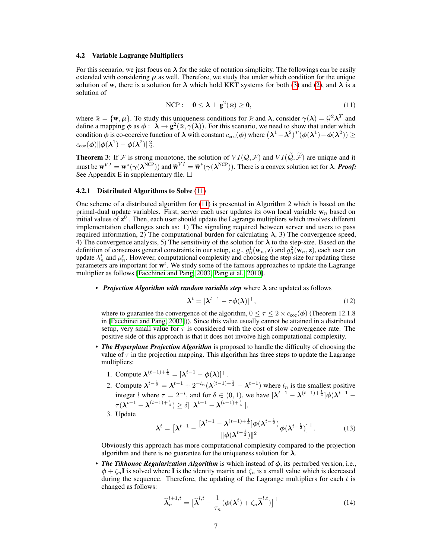#### 4.2 Variable Lagrange Multipliers

For this scenario, we just focus on  $\lambda$  for the sake of notation simplicity. The followings can be easily extended with considering  $\mu$  as well. Therefore, we study that under which condition for the unique solution of w, there is a solution for  $\lambda$  which hold KKT systems for both [\(3\)](#page-2-1) and [\(2\)](#page-1-0), and  $\lambda$  is a solution of

<span id="page-6-2"></span>
$$
\text{NCP}: \quad \mathbf{0} \le \boldsymbol{\lambda} \perp \mathbf{g}^2(\bar{\mathbf{x}}) \ge \mathbf{0},\tag{11}
$$

where  $\bar{\varkappa} = \{w, \mu\}$ . To study this uniqueness conditions for  $\bar{\varkappa}$  and  $\lambda$ , consider  $\gamma(\lambda) = \mathcal{G}^2 \lambda^T$  and define a mapping  $\phi$  as  $\phi : \dot{\lambda} \to \mathbf{g}^2(\bar{\varkappa}, \gamma(\lambda))$ . For this scenario, we need to show that under which condition  $\phi$  is co-coercive function of  $\lambda$  with constant  $c_{\rm coc}(\phi)$  where  $(\lambda^1-\lambda^2)^T(\phi(\lambda^1)-\phi(\lambda^2))\geq$  $c_{\rm coc}(\boldsymbol\phi)\|\boldsymbol\phi(\boldsymbol\lambda^1)-\boldsymbol\phi(\boldsymbol\lambda^2)\|_2^2.$ 

**Theorem 3:** If F is strong monotone, the solution of  $VI(Q, \mathcal{F})$  and  $VI(\tilde{Q}, \tilde{\mathcal{F}})$  are unique and it must be  $\mathbf{w}^{VI} = \mathbf{w}^*(\gamma(\lambda^{\text{NCP}}))$  and  $\widetilde{\mathbf{w}}^{VI} = \widetilde{\mathbf{w}}^*(\gamma(\lambda^{\text{NCP}}))$ . There is a convex solution set for  $\lambda$ . **Proof:**<br>See Appendix E in supplementary file See Appendix E in supplementary file.  $\square$ 

#### 4.2.1 Distributed Algorithms to Solve [\(11\)](#page-6-2)

One scheme of a distributed algorithm for [\(11\)](#page-6-2) is presented in Algorithm 2 which is based on the primal-dual update variables. First, server each user updates its own local variable  $w_n$  based on initial values of  $z^0$  . Then, each user should update the Lagrange multipliers which involves different implementation challenges such as: 1) The signaling required between server and users to pass required information, 2) The computational burden for calculating  $\lambda$ , 3) The convergence speed, 4) The convergence analysis, 5) The sensitivity of the solution for  $\lambda$  to the step-size. Based on the definition of consensus general constraints in our setup, e.g.,  $g_n^1(\mathbf{w}_n, \mathbf{z})$  and  $g_n^2(\mathbf{w}_n, \mathbf{z})$ , each user can update  $\lambda_n^t$  and  $\mu_n^t$ . However, computational complexity and choosing the step size for updating these parameters are important for  $w<sup>t</sup>$ . We study some of the famous approaches to update the Lagrange multiplier as follows [\[Facchinei and Pang, 2003,](#page-11-6) [Pang et al., 2010\]](#page-11-15).

• *Projection Algorithm with random variable step* where λ are updated as follows

<span id="page-6-0"></span>
$$
\boldsymbol{\lambda}^t = [\boldsymbol{\lambda}^{t-1} - \tau \boldsymbol{\phi}(\boldsymbol{\lambda})]^+, \tag{12}
$$

where to guarantee the convergence of the algorithm,  $0 \le \tau \le 2 \times c_{\text{coc}}(\phi)$  (Theorem 12.1.8) in [\[Facchinei and Pang, 2003\]](#page-11-6))). Since this value usually cannot be attained in a distributed setup, very small value for  $\tau$  is considered with the cost of slow convergence rate. The positive side of this approach is that it does not involve high computational complexity.

- *The Hyperplane Projection Algorithm* is proposed to handle the difficulty of choosing the value of  $\tau$  in the projection mapping. This algorithm has three steps to update the Lagrange multipliers:
	- 1. Compute  $\lambda^{(t-1)+\frac{1}{4}} = [\lambda^{t-1} \phi(\lambda)]^+$ .
	- 2. Compute  $\lambda^{t-\frac{1}{2}} = \lambda^{t-1} + 2^{-l_n}(\lambda^{(t-1)+\frac{1}{4}} \lambda^{t-1})$  where  $l_n$  is the smallest positive integer l where  $\tau = 2^{-l}$ , and for  $\delta \in (0, 1)$ , we have  $[\lambda^{t-1} - \lambda^{(t-1)+\frac{1}{4}}] \phi(\lambda^{t-1} \tau(\boldsymbol{\lambda}^{t-1}-\boldsymbol{\lambda}^{(t-1)+\frac{1}{4}})\geq \delta\|\ \boldsymbol{\lambda}^{t-1}-\boldsymbol{\lambda}^{(t-1)+\frac{1}{4}}\|.$
	- 3. Update

$$
\lambda^{t} = \left[\lambda^{t-1} - \frac{[\lambda^{t-1} - \lambda^{(t-1)+\frac{1}{4}}] \phi(\lambda^{t-\frac{1}{2}})}{\|\phi(\lambda^{t-\frac{1}{2}})\|^2} \phi(\lambda^{t-\frac{1}{2}})\right]^{+}.
$$
 (13)

Obviously this approach has more computational complexity compared to the projection algorithm and there is no guarantee for the uniqueness solution for  $\lambda$ .

• *The Tikhonoc Regularization Algorithm* is which instead of φ, its perturbed version, i.e.,  $\phi + \zeta_n I$  is solved where I is the identity matrix and  $\zeta_n$  is a small value which is decreased during the sequence. Therefore, the updating of the Lagrange multipliers for each  $t$  is changed as follows:

<span id="page-6-1"></span>
$$
\widehat{\boldsymbol{\lambda}}_n^{l+1,t} = \left[\widehat{\boldsymbol{\lambda}}^{l,t} - \frac{1}{\tau_n}(\boldsymbol{\phi}(\boldsymbol{\lambda}^t) + \zeta_n \widehat{\boldsymbol{\lambda}}^{l,t})\right]^+\tag{14}
$$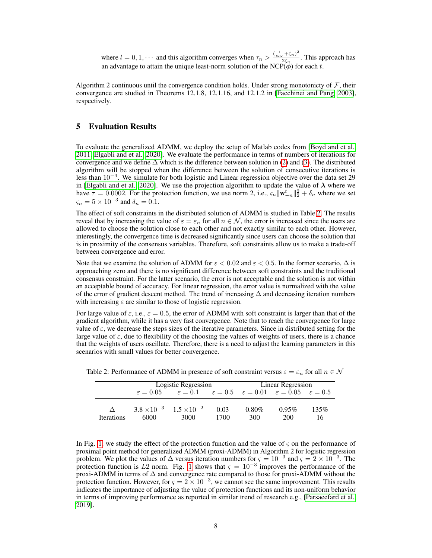where  $l = 0, 1, \cdots$  and this algorithm converges when  $\tau_n > \frac{(\frac{1}{c_{\text{euc}}} + \zeta_n)^2}{2\zeta_n}$  $\frac{c^{1.5n}}{2\zeta_n}$ . This approach has an advantage to attain the unique least-norm solution of the NCP( $\phi$ ) for each t.

Algorithm 2 continuous until the convergence condition holds. Under strong monotonicty of  $F$ , their convergence are studied in Theorems 12.1.8, 12.1.16, and 12.1.2 in [\[Facchinei and Pang, 2003\]](#page-11-6), respectively.

# 5 Evaluation Results

To evaluate the generalized ADMM, we deploy the setup of Matlab codes from [\[Boyd and et al.,](#page-10-1) [2011,](#page-10-1) [Elgabli and et al., 2020\]](#page-11-10). We evaluate the performance in terms of numbers of iterations for convergence and we define  $\Delta$  which is the difference between solution in [\(2\)](#page-1-0) and [\(3\)](#page-2-1). The distributed algorithm will be stopped when the difference between the solution of consecutive iterations is less than 10−<sup>4</sup> . We simulate for both logistic and Linear regression objective over the data set 29 in [\[Elgabli and et al., 2020\]](#page-11-10). We use the projection algorithm to update the value of  $\lambda$  where we have  $\tau = 0.0002$ . For the protection function, we use norm 2, i.e.,  $\zeta_n ||\mathbf{w}_{-n}^t||_2^2 + \delta_n$  where we set  $\varsigma_n = 5 \times 10^{-3}$  and  $\delta_n = 0.1$ .

The effect of soft constraints in the distributed solution of ADMM is studied in Table [2.](#page-7-0) The results reveal that by increasing the value of  $\varepsilon = \varepsilon_n$  for all  $n \in \mathcal{N}$ , the error is increased since the users are allowed to choose the solution close to each other and not exactly similar to each other. However, interestingly, the convergence time is decreased significantly since users can choose the solution that is in proximity of the consensus variables. Therefore, soft constraints allow us to make a trade-off between convergence and error.

Note that we examine the solution of ADMM for  $\varepsilon < 0.02$  and  $\varepsilon < 0.5$ . In the former scenario,  $\Delta$  is approaching zero and there is no significant difference between soft constraints and the traditional consensus constraint. For the latter scenario, the error is not acceptable and the solution is not within an acceptable bound of accuracy. For linear regression, the error value is normalized with the value of the error of gradient descent method. The trend of increasing ∆ and decreasing iteration numbers with increasing  $\varepsilon$  are similar to those of logistic regression.

For large value of  $\varepsilon$ , i.e.,  $\varepsilon = 0.5$ , the error of ADMM with soft constraint is larger than that of the gradient algorithm, while it has a very fast convergence. Note that to reach the convergence for large value of  $\varepsilon$ , we decrease the steps sizes of the iterative parameters. Since in distributed setting for the large value of  $\varepsilon$ , due to flexibility of the choosing the values of weights of users, there is a chance that the weights of users oscillate. Therefore, there is a need to adjust the learning parameters in this scenarios with small values for better convergence.

|                   | Logistic Regression  |                                                                                                       |      | Linear Regression |          |      |
|-------------------|----------------------|-------------------------------------------------------------------------------------------------------|------|-------------------|----------|------|
|                   | $\varepsilon = 0.05$ | $\varepsilon = 0.1$ $\varepsilon = 0.5$ $\varepsilon = 0.01$ $\varepsilon = 0.05$ $\varepsilon = 0.5$ |      |                   |          |      |
|                   |                      | $3.8 \times 10^{-3}$ $1.5 \times 10^{-2}$                                                             | 0.03 | $0.80\%$          | $0.95\%$ | 135% |
| <b>Iterations</b> | 6000                 | 3000                                                                                                  | 1700 | 300               | 200      | 16   |

<span id="page-7-0"></span>Table 2: Performance of ADMM in presence of soft constraint versus  $\varepsilon = \varepsilon_n$  for all  $n \in \mathcal{N}$ 

In Fig. [1,](#page-8-0) we study the effect of the protection function and the value of  $\varsigma$  on the performance of proximal point method for generalized ADMM (proxi-ADMM) in Algorithm 2 for logistic regression problem. We plot the values of  $\Delta$  versus iteration numbers for  $\varsigma = 10^{-3}$  and  $\varsigma = 2 \times 10^{-3}$ . The protection function is L2 norm. Fig. [1](#page-8-0) shows that  $\varsigma = 10^{-3}$  improves the performance of the proxi-ADMM in terms of  $\Delta$  and convergence rate compared to those for proxi-ADMM without the protection function. However, for  $\varsigma = 2 \times 10^{-3}$ , we cannot see the same improvement. This results indicates the importance of adjusting the value of protection functions and its non-uniform behavior in terms of improving performance as reported in similar trend of research e.g., [\[Parsaeefard et al.,](#page-11-5) [2019\]](#page-11-5).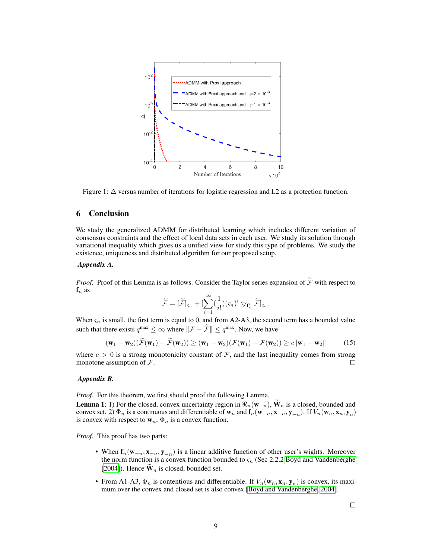

Figure 1: ∆ versus number of iterations for logistic regression and L2 as a protection function.

# 6 Conclusion

We study the generalized ADMM for distributed learning which includes different variation of consensus constraints and the effect of local data sets in each user. We study its solution through variational inequality which gives us a unified view for study this type of problems. We study the existence, uniqueness and distributed algorithm for our proposed setup.

## *Appendix A.*

*Proof.* Proof of this Lemma is as follows. Consider the Taylor series expansion of  $\widetilde{\mathcal{F}}$  with respect to  $f_n$  as

<span id="page-8-1"></span><span id="page-8-0"></span>
$$
\widetilde{\mathcal{F}} = [\widetilde{\mathcal{F}}]_{\varsigma_n} + [\sum_{i=1}^{\infty} (\frac{1}{i!}) (\varsigma_n)^i \bigtriangledown_{\mathbf{f}_n^i} \widetilde{\mathcal{F}}]_{\varsigma_n}.
$$

When  $\varsigma_n$  is small, the first term is equal to 0, and from A2-A3, the second term has a bounded value such that there exists  $q^{\max} \leq \infty$  where  $\|\mathcal{F} - \mathcal{F}\| \leq q^{\max}$ . Now, we have

$$
(\mathbf{w}_1 - \mathbf{w}_2)(\widetilde{\mathcal{F}}(\mathbf{w}_1) - \widetilde{\mathcal{F}}(\mathbf{w}_2)) \ge (\mathbf{w}_1 - \mathbf{w}_2)(\mathcal{F}(\mathbf{w}_1) - \mathcal{F}(\mathbf{w}_2)) \ge c \|\mathbf{w}_1 - \mathbf{w}_2\|
$$
 (15)

where  $c > 0$  is a strong monotonicity constant of  $\mathcal{F}$ , and the last inequality comes from strong monotone assumption of  $\mathcal{F}$ . П

## *Appendix B.*

*Proof.* For this theorem, we first should proof the following Lemma.

**Lemma 1:** 1) For the closed, convex uncertainty region in  $\Re_n(\mathbf{w}_{-n})$ ,  $\mathbf{W}_n$  is a closed, bounded and convex set. 2)  $\Phi_n$  is a continuous and differentiable of  $w_n$  and  $f_n(w_{-n}, x_{-n}, y_{-n})$ . If  $V_n(w_n, x_n, y_n)$ is convex with respect to  $w_n$ ,  $\Phi_n$  is a convex function.

*Proof.* This proof has two parts:

- When  $f_n(w_{-n}, x_{-n}, y_{-n})$  is a linear additive function of other user's wights. Moreover the norm function is a convex function bounded to  $\varsigma_n$  (Sec 2.2.2 [Boyd and Vandenberghe](#page-11-16) [\[2004\]](#page-11-16)). Hence  $\widetilde{\mathbf{W}}_n$  is closed, bounded set.
- From A1-A3,  $\Phi_n$  is contentious and differentiable. If  $V_n(\mathbf{w}_n, \mathbf{x}_n, \mathbf{y}_n)$  is convex, its maximum over the convex and closed set is also convex [\[Boyd and Vandenberghe, 2004\]](#page-11-16).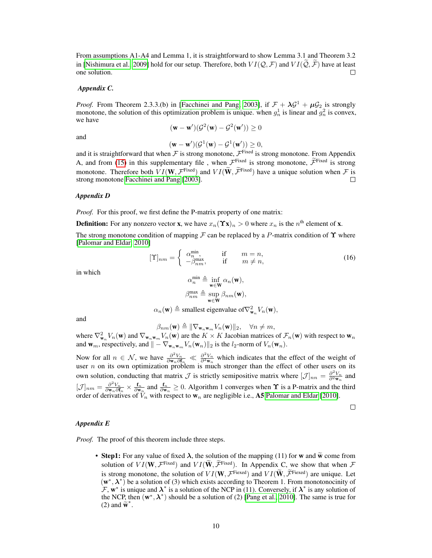From assumptions A1-A4 and Lemma 1, it is straightforward to show Lemma 3.1 and Theorem 3.2 in [\[Nishimura et al., 2009\]](#page-11-17) hold for our setup. Therefore, both  $VI(Q, \mathcal{F})$  and  $VI(\tilde{Q}, \tilde{\mathcal{F}})$  have at least one solution. one solution.

## *Appendix C.*

*Proof.* From Theorem 2.3.3.(b) in [\[Facchinei and Pang, 2003\]](#page-11-6), if  $\mathcal{F} + \lambda \mathcal{G}^1 + \mu \mathcal{G}_2$  is strongly monotone, the solution of this optimization problem is unique. when  $g_n^1$  is linear and  $g_n^2$  is convex, we have

$$
(\mathbf{w} - \mathbf{w}')(\mathcal{G}^2(\mathbf{w}) - \mathcal{G}^2(\mathbf{w}')) \ge 0
$$

and

 $(\mathbf{w}-\mathbf{w}')(\mathcal{G}^1(\mathbf{w})-\mathcal{G}^1(\mathbf{w}'))\geq 0,$ 

and it is straightforward that when  $\cal F$  is strong monotone,  $\cal F^{Fixed}$  is strong monotone. From Appendix A, and from [\(15\)](#page-8-1) in this supplementary file, when  $\mathcal{F}^{\text{Fixed}}$  is strong monotone,  $\mathcal{F}^{\text{Fixed}}$  is strong monotone. Therefore both  $VI(\mathbf{W}, \mathcal{F}^{\text{Fixed}})$  and  $VI(\mathbf{W}, \widetilde{\mathcal{F}}^{\text{Fixed}})$  have a unique solution when  $\mathcal{F}$  is strong monotone [Facchinei and Pang](#page-11-6) [\[2003\]](#page-11-6).

#### *Appendix D*

*Proof.* For this proof, we first define the P-matrix property of one matrix:

**Definition:** For any nonzero vector **x**, we have  $x_n(\Upsilon x)_n > 0$  where  $x_n$  is the  $n^{\text{th}}$  element of **x**.

The strong monotone condition of mapping F can be replaced by a P-matrix condition of  $\Upsilon$  where [\[Palomar and Eldar, 2010\]](#page-11-14)

$$
[\Upsilon]_{nm} = \begin{cases} \alpha_n^{\min}, & \text{if } m = n, \\ -\beta_{nm}^{\max}, & \text{if } m \neq n, \end{cases}
$$
 (16)

in which

$$
\alpha_n^{\min} \triangleq \inf_{\mathbf{w} \in \mathbf{W}} \alpha_n(\mathbf{w}),
$$

$$
\beta_{nm}^{\max} \triangleq \sup_{\mathbf{w} \in \mathbf{W}} \beta_{nm}(\mathbf{w}),
$$

 $\alpha_n(\mathbf{w}) \triangleq$  smallest eigenvalue of  $\nabla^2_{\mathbf{w}_n} V_n(\mathbf{w}),$ 

and

$$
\beta_{nm}(\mathbf{w}) \triangleq \|\nabla_{\mathbf{w}_n \mathbf{w}_m} V_n(\mathbf{w})\|_2, \quad \forall n \neq m,
$$

where  $\nabla_{\mathbf{w}_n}^2 V_n(\mathbf{w})$  and  $\nabla_{\mathbf{w}_n\mathbf{w}_m} V_n(\mathbf{w})$  are the  $K \times K$  Jacobian matrices of  $\mathcal{F}_n(\mathbf{w})$  with respect to  $\mathbf{w}_n$ and  $\mathbf{w}_m$ , respectively, and  $\| - \nabla_{\mathbf{w}_n \mathbf{w}_m} V_n(\mathbf{w}_n) \|_2$  is the *l*<sub>2</sub>-norm of  $V_n(\mathbf{w}_n)$ .

Now for all  $n \in \mathcal{N}$ , we have  $\frac{\partial^2 V_n}{\partial \mathbf{w}_n \partial \mathbf{f}_n} \ll \frac{\partial^2 V_n}{\partial^2 \mathbf{w}_n}$  which indicates that the effect of the weight of user  $n$  on its own optimization problem is much stronger than the effect of other users on its own solution, conducting that matrix  $\mathcal J$  is strictly semipositive matrix where  $[\mathcal J]_{nn} = \frac{\partial^2 V_n}{\partial^2 \mathbf{w}_n}$  and  $[\mathcal{J}]_{nm} = \frac{\partial^2 V_n}{\partial \mathbf{w}_n \partial f_n} \times \frac{f_n}{\partial \mathbf{w}_n}$  and  $\frac{f_n}{\partial \mathbf{w}_n} \geq 0$ . Algorithm 1 converges when  $\Upsilon$  is a P-matrix and the third order of derivatives of  $V_n$  with respect to  $w_n$  are negligible i.e., A5 [Palomar and Eldar](#page-11-14) [\[2010\]](#page-11-14).

 $\Box$ 

#### *Appendix E*

*Proof.* The proof of this theorem include three steps.

• Step1: For any value of fixed  $\lambda$ , the solution of the mapping (11) for w and  $\tilde{w}$  come from solution of  $VI(\mathbf{W}, \mathcal{F}^{\text{Fixed}})$  and  $VI(\mathbf{W}, \widetilde{\mathcal{F}}^{\text{Fixed}})$ . In Appendix C, we show that when  $\mathcal F$ is strong monotone, the solution of  $VI(\mathbf{W}, \mathcal{F}^{\text{Fixed}})$  and  $VI(\mathbf{W}, \mathcal{F}^{\text{Fixed}})$  are unique. Let  $(w^*, \lambda^*)$  be a solution of (3) which exists according to Theorem 1. From monotonocinity of  $\mathcal{F}, \mathbf{w}^*$  is unique and  $\lambda^*$  is a solution of the NCP in (11). Conversely, if  $\lambda^*$  is any solution of the NCP, then  $(w^*, \lambda^*)$  should be a solution of (2) [\[Pang et al., 2010\]](#page-11-15). The same is true for (2) and  $\tilde{\mathbf{w}}^*$ .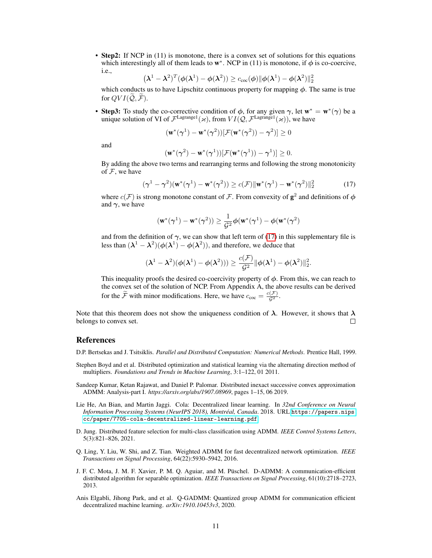• Step2: If NCP in (11) is monotone, there is a convex set of solutions for this equations which interestingly all of them leads to  $w^*$ . NCP in (11) is monotone, if  $\phi$  is co-coercive, i.e.,

$$
(\boldsymbol{\lambda}^1 - \boldsymbol{\lambda}^2)^T (\boldsymbol{\phi}(\boldsymbol{\lambda}^1) - \boldsymbol{\phi}(\boldsymbol{\lambda}^2)) \ge c_{\rm coc}(\boldsymbol{\phi}) ||\boldsymbol{\phi}(\boldsymbol{\lambda}^1) - \boldsymbol{\phi}(\boldsymbol{\lambda}^2)||_2^2
$$

which conducts us to have Lipschitz continuous property for mapping  $\phi$ . The same is true for  $OVI(\widetilde{Q}, \widetilde{\mathcal{F}})$ .

• Step3: To study the co-corrective condition of  $\phi$ , for any given  $\gamma$ , let  $w^* = w^*(\gamma)$  be a unique solution of VI of  $\mathcal{F}^{\text{Lagrange1}}(\kappa)$ , from  $VI(\mathcal{Q}, \mathcal{F}^{\text{Lagrangel}}(\kappa))$ , we have

$$
(\mathbf{w}^*(\boldsymbol{\gamma}^1)-\mathbf{w}^*(\boldsymbol{\gamma}^2))[\mathcal{F}(\mathbf{w}^*(\boldsymbol{\gamma}^2))-\boldsymbol{\gamma}^2)]\geq 0
$$

and

$$
(\mathbf{w}^*(\boldsymbol{\gamma}^2) - \mathbf{w}^*(\boldsymbol{\gamma}^1))[\mathcal{F}(\mathbf{w}^*(\boldsymbol{\gamma}^1)) - \boldsymbol{\gamma}^1)] \ge 0.
$$

By adding the above two terms and rearranging terms and following the strong monotonicity of  $F$ , we have

<span id="page-10-8"></span>
$$
(\gamma^1 - \gamma^2)(\mathbf{w}^*(\gamma^1) - \mathbf{w}^*(\gamma^2)) \ge c(\mathcal{F}) \|\mathbf{w}^*(\gamma^1) - \mathbf{w}^*(\gamma^2)\|_2^2
$$
 (17)

where  $c(\mathcal{F})$  is strong monotone constant of  $\mathcal{F}$ . From convexity of  $\mathbf{g}^2$  and definitions of  $\phi$ and  $\gamma$ , we have

$$
(\mathbf{w}^*(\boldsymbol{\gamma}^1)-\mathbf{w}^*(\boldsymbol{\gamma}^2))\geq \frac{1}{\mathcal{G}^2}\boldsymbol{\phi}(\mathbf{w}^*(\boldsymbol{\gamma}^1)-\boldsymbol{\phi}(\mathbf{w}^*(\boldsymbol{\gamma}^2)
$$

and from the definition of  $\gamma$ , we can show that left term of [\(17\)](#page-10-8) in this supplementary file is less than  $(\lambda^1 - \lambda^2)(\phi(\lambda^1) - \phi(\lambda^2))$ , and therefore, we deduce that

$$
(\boldsymbol{\lambda}^1-\boldsymbol{\lambda}^2)(\boldsymbol{\phi}(\boldsymbol{\lambda}^1)-\boldsymbol{\phi}(\boldsymbol{\lambda}^2)))\geq \frac{c(\mathcal{F})}{\mathcal{G}^2}\|\boldsymbol{\phi}(\boldsymbol{\lambda}^1)-\boldsymbol{\phi}(\boldsymbol{\lambda}^2)\|_2^2.
$$

This inequality proofs the desired co-coercivity property of  $\phi$ . From this, we can reach to the convex set of the solution of NCP. From Appendix A, the above results can be derived for the  $\tilde{\mathcal{F}}$  with minor modifications. Here, we have  $c_{\text{coc}} = \frac{c(\mathcal{F})}{\mathcal{G}^2}$ .

Note that this theorem does not show the uniqueness condition of  $\lambda$ . However, it shows that  $\lambda$ belongs to convex set.  $\Box$ 

# References

<span id="page-10-0"></span>D.P. Bertsekas and J. Tsitsiklis. *Parallel and Distributed Computation: Numerical Methods*. Prentice Hall, 1999.

- <span id="page-10-1"></span>Stephen Boyd and et al. Distributed optimization and statistical learning via the alternating direction method of multipliers. *Foundations and Trends in Machine Learning*, 3:1–122, 01 2011.
- <span id="page-10-2"></span>Sandeep Kumar, Ketan Rajawat, and Daniel P. Palomar. Distributed inexact successive convex approximation ADMM: Analysis-part I. *https://arxiv.org/abs/1907.08969*, pages 1–15, 06 2019.
- <span id="page-10-3"></span>Lie He, An Bian, and Martin Jaggi. Cola: Decentralized linear learning. In *32nd Conference on Neural Information Processing Systems (NeurIPS 2018), Montréal, Canada*. 2018. URL [https://papers.nips.](https://papers.nips.cc/paper/7705-cola-decentralized-linear-learning.pdf) [cc/paper/7705-cola-decentralized-linear-learning.pdf](https://papers.nips.cc/paper/7705-cola-decentralized-linear-learning.pdf).
- <span id="page-10-4"></span>D. Jung. Distributed feature selection for multi-class classification using ADMM. *IEEE Control Systems Letters*, 5(3):821–826, 2021.
- <span id="page-10-5"></span>Q. Ling, Y. Liu, W. Shi, and Z. Tian. Weighted ADMM for fast decentralized network optimization. *IEEE Transactions on Signal Processing*, 64(22):5930–5942, 2016.
- <span id="page-10-6"></span>J. F. C. Mota, J. M. F. Xavier, P. M. Q. Aguiar, and M. Püschel. D-ADMM: A communication-efficient distributed algorithm for separable optimization. *IEEE Transactions on Signal Processing*, 61(10):2718–2723, 2013.
- <span id="page-10-7"></span>Anis Elgabli, Jihong Park, and et al. Q-GADMM: Quantized group ADMM for communication efficient decentralized machine learning. *arXiv:1910.10453v3*, 2020.